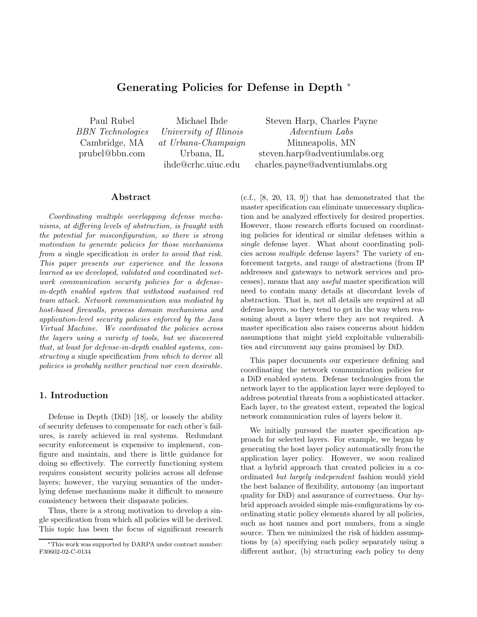# Generating Policies for Defense in Depth <sup>∗</sup>

Paul Rubel Michael Ihde Steven Harp, Charles Payne BBN Technologies University of Illinois Adventium Labs Cambridge, MA at Urbana-Champaign Minneapolis, MN prubel@bbn.com Urbana, IL steven.harp@adventiumlabs.org ihde@crhc.uiuc.edu charles.payne@adventiumlabs.org

## Abstract

Coordinating multiple overlapping defense mechanisms, at differing levels of abstraction, is fraught with the potential for misconfiguration, so there is strong motivation to generate policies for those mechanisms from a single specification in order to avoid that risk. This paper presents our experience and the lessons learned as we developed, validated and coordinated network communication security policies for a defensein-depth enabled system that withstood sustained red team attack. Network communication was mediated by host-based firewalls, process domain mechanisms and application-level security policies enforced by the Java Virtual Machine. We coordinated the policies across the layers using a variety of tools, but we discovered that, at least for defense-in-depth enabled systems, constructing a single specification from which to derive all policies is probably neither practical nor even desirable.

### 1. Introduction

Defense in Depth (DiD) [18], or loosely the ability of security defenses to compensate for each other's failures, is rarely achieved in real systems. Redundant security enforcement is expensive to implement, configure and maintain, and there is little guidance for doing so effectively. The correctly functioning system requires consistent security policies across all defense layers; however, the varying semantics of the underlying defense mechanisms make it difficult to measure consistency between their disparate policies.

Thus, there is a strong motivation to develop a single specification from which all policies will be derived. This topic has been the focus of significant research  $(c.f., [8, 20, 13, 9])$  that has demonstrated that the master specification can eliminate unnecessary duplication and be analyzed effectively for desired properties. However, those research efforts focused on coordinating policies for identical or similar defenses within a single defense layer. What about coordinating policies across multiple defense layers? The variety of enforcement targets, and range of abstractions (from IP addresses and gateways to network services and processes), means that any useful master specification will need to contain many details at discordant levels of abstraction. That is, not all details are required at all defense layers, so they tend to get in the way when reasoning about a layer where they are not required. A master specification also raises concerns about hidden assumptions that might yield exploitable vulnerabilities and circumvent any gains promised by DiD.

This paper documents our experience defining and coordinating the network communication policies for a DiD enabled system. Defense technologies from the network layer to the application layer were deployed to address potential threats from a sophisticated attacker. Each layer, to the greatest extent, repeated the logical network communication rules of layers below it.

We initially pursued the master specification approach for selected layers. For example, we began by generating the host layer policy automatically from the application layer policy. However, we soon realized that a hybrid approach that created policies in a coordinated but largely independent fashion would yield the best balance of flexibility, autonomy (an important quality for DiD) and assurance of correctness. Our hybrid approach avoided simple mis-configurations by coordinating static policy elements shared by all policies, such as host names and port numbers, from a single source. Then we minimized the risk of hidden assumptions by (a) specifying each policy separately using a different author, (b) structuring each policy to deny

<sup>∗</sup>This work was supported by DARPA under contract number: F30602-02-C-0134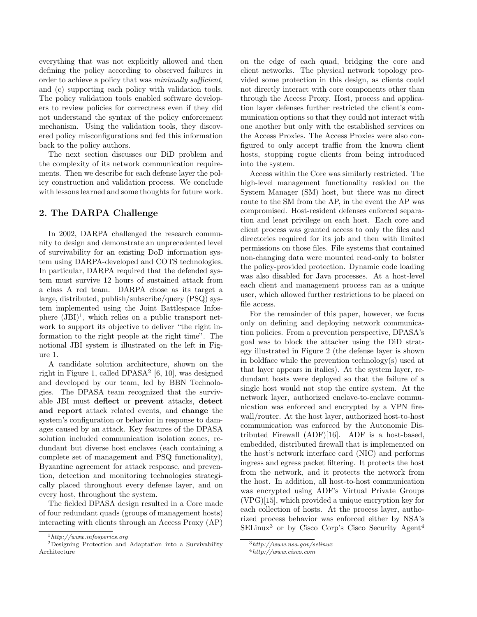everything that was not explicitly allowed and then defining the policy according to observed failures in order to achieve a policy that was minimally sufficient, and (c) supporting each policy with validation tools. The policy validation tools enabled software developers to review policies for correctness even if they did not understand the syntax of the policy enforcement mechanism. Using the validation tools, they discovered policy misconfigurations and fed this information back to the policy authors.

The next section discusses our DiD problem and the complexity of its network communication requirements. Then we describe for each defense layer the policy construction and validation process. We conclude with lessons learned and some thoughts for future work.

## 2. The DARPA Challenge

In 2002, DARPA challenged the research community to design and demonstrate an unprecedented level of survivability for an existing DoD information system using DARPA-developed and COTS technologies. In particular, DARPA required that the defended system must survive 12 hours of sustained attack from a class A red team. DARPA chose as its target a large, distributed, publish/subscribe/query (PSQ) system implemented using the Joint Battlespace Infosphere  $(JBI)^1$ , which relies on a public transport network to support its objective to deliver "the right information to the right people at the right time". The notional JBI system is illustrated on the left in Figure 1.

A candidate solution architecture, shown on the right in Figure 1, called  $DPASA^2$  [6, 10], was designed and developed by our team, led by BBN Technologies. The DPASA team recognized that the survivable JBI must deflect or prevent attacks, detect and report attack related events, and change the system's configuration or behavior in response to damages caused by an attack. Key features of the DPASA solution included communication isolation zones, redundant but diverse host enclaves (each containing a complete set of management and PSQ functionality), Byzantine agreement for attack response, and prevention, detection and monitoring technologies strategically placed throughout every defense layer, and on every host, throughout the system.

The fielded DPASA design resulted in a Core made of four redundant quads (groups of management hosts) interacting with clients through an Access Proxy (AP)

on the edge of each quad, bridging the core and client networks. The physical network topology provided some protection in this design, as clients could not directly interact with core components other than through the Access Proxy. Host, process and application layer defenses further restricted the client's communication options so that they could not interact with one another but only with the established services on the Access Proxies. The Access Proxies were also configured to only accept traffic from the known client hosts, stopping rogue clients from being introduced into the system.

Access within the Core was similarly restricted. The high-level management functionality resided on the System Manager (SM) host, but there was no direct route to the SM from the AP, in the event the AP was compromised. Host-resident defenses enforced separation and least privilege on each host. Each core and client process was granted access to only the files and directories required for its job and then with limited permissions on those files. File systems that contained non-changing data were mounted read-only to bolster the policy-provided protection. Dynamic code loading was also disabled for Java processes. At a host-level each client and management process ran as a unique user, which allowed further restrictions to be placed on file access.

For the remainder of this paper, however, we focus only on defining and deploying network communication policies. From a prevention perspective, DPASA's goal was to block the attacker using the DiD strategy illustrated in Figure 2 (the defense layer is shown in boldface while the prevention technology(s) used at that layer appears in italics). At the system layer, redundant hosts were deployed so that the failure of a single host would not stop the entire system. At the network layer, authorized enclave-to-enclave communication was enforced and encrypted by a VPN firewall/router. At the host layer, authorized host-to-host communication was enforced by the Autonomic Distributed Firewall (ADF)[16]. ADF is a host-based, embedded, distributed firewall that is implemented on the host's network interface card (NIC) and performs ingress and egress packet filtering. It protects the host from the network, and it protects the network from the host. In addition, all host-to-host communication was encrypted using ADF's Virtual Private Groups (VPG)[15], which provided a unique encryption key for each collection of hosts. At the process layer, authorized process behavior was enforced either by NSA's SELinux<sup>3</sup> or by Cisco Corp's Cisco Security Agent<sup>4</sup>

<sup>1</sup>http://www.infosperics.org

<sup>2</sup>Designing Protection and Adaptation into a Survivability Architecture

 $3$ http://www.nsa.gov/selinux

<sup>4</sup>http://www.cisco.com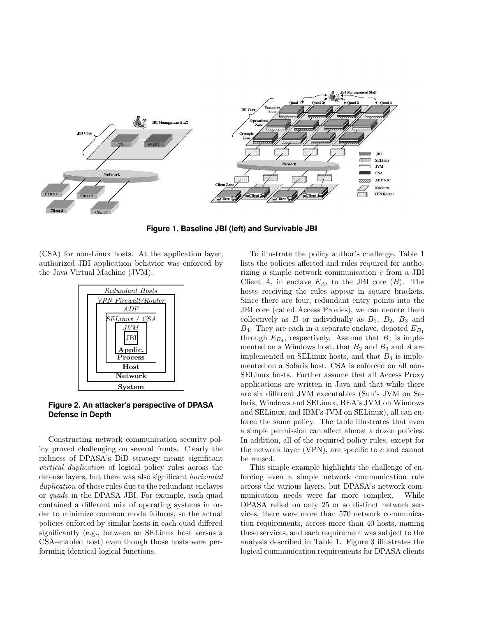

**Figure 1. Baseline JBI (left) and Survivable JBI**

(CSA) for non-Linux hosts. At the application layer, authorized JBI application behavior was enforced by the Java Virtual Machine (JVM).



**Figure 2. An attacker's perspective of DPASA Defense in Depth**

Constructing network communication security policy proved challenging on several fronts. Clearly the richness of DPASA's DiD strategy meant significant vertical duplication of logical policy rules across the defense layers, but there was also significant horizontal duplication of those rules due to the redundant enclaves or quads in the DPASA JBI. For example, each quad contained a different mix of operating systems in order to minimize common mode failures, so the actual policies enforced by similar hosts in each quad differed significantly (e.g., between an SELinux host versus a CSA-enabled host) even though those hosts were performing identical logical functions.

To illustrate the policy author's challenge, Table 1 lists the policies affected and rules required for authorizing a simple network communication c from a JBI Client A, in enclave  $E_A$ , to the JBI core  $(B)$ . The hosts receiving the rules appear in square brackets. Since there are four, redundant entry points into the JBI core (called Access Proxies), we can denote them collectively as  $B$  or individually as  $B_1$ ,  $B_2$ ,  $B_3$  and  $B_4$ . They are each in a separate enclave, denoted  $E_{B_1}$ through  $E_{B_4}$ , respectively. Assume that  $B_1$  is implemented on a Windows host, that  $B_2$  and  $B_3$  and A are implemented on SELinux hosts, and that  $B_4$  is implemented on a Solaris host. CSA is enforced on all non-SELinux hosts. Further assume that all Access Proxy applications are written in Java and that while there are six different JVM executables (Sun's JVM on Solaris, Windows and SELinux, BEA's JVM on Windows and SELinux, and IBM's JVM on SELinux), all can enforce the same policy. The table illustrates that even a simple permission can affect almost a dozen policies. In addition, all of the required policy rules, except for the network layer (VPN), are specific to  $c$  and cannot be reused.

This simple example highlights the challenge of enforcing even a simple network communication rule across the various layers, but DPASA's network communication needs were far more complex. While DPASA relied on only 25 or so distinct network services, there were more than 570 network communication requirements, across more than 40 hosts, naming these services, and each requirement was subject to the analysis described in Table 1. Figure 3 illustrates the logical communication requirements for DPASA clients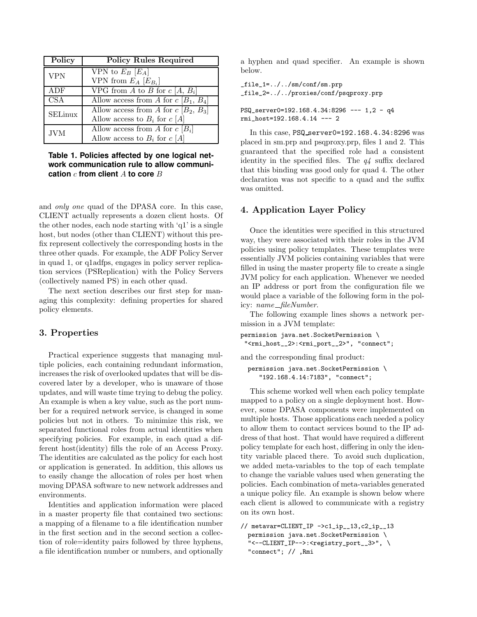| Policy         | <b>Policy Rules Required</b>           |
|----------------|----------------------------------------|
| <b>VPN</b>     | VPN to $E_B$ [ $E_A$ ]                 |
|                | VPN from $E_A$ $[E_{B_i}]$             |
| ADF            | VPG from A to B for c [A, $B_i$ ]      |
| <b>CSA</b>     | Allow access from A for $c [B_1, B_4]$ |
| <b>SELinux</b> | Allow access from A for $c [B_2, B_3]$ |
|                | Allow access to $B_i$ for $c[A]$       |
| <b>JVM</b>     | Allow access from A for $c [B_i]$      |
|                | Allow access to $B_i$ for $c[A]$       |

**Table 1. Policies affected by one logical network communication rule to allow communication** c **from client** A **to core** B

and only one quad of the DPASA core. In this case, CLIENT actually represents a dozen client hosts. Of the other nodes, each node starting with 'q1' is a single host, but nodes (other than CLIENT) without this prefix represent collectively the corresponding hosts in the three other quads. For example, the ADF Policy Server in quad 1, or q1adfps, engages in policy server replication services (PSReplication) with the Policy Servers (collectively named PS) in each other quad.

The next section describes our first step for managing this complexity: defining properties for shared policy elements.

## 3. Properties

Practical experience suggests that managing multiple policies, each containing redundant information, increases the risk of overlooked updates that will be discovered later by a developer, who is unaware of those updates, and will waste time trying to debug the policy. An example is when a key value, such as the port number for a required network service, is changed in some policies but not in others. To minimize this risk, we separated functional roles from actual identities when specifying policies. For example, in each quad a different host(identity) fills the role of an Access Proxy. The identities are calculated as the policy for each host or application is generated. In addition, this allows us to easily change the allocation of roles per host when moving DPASA software to new network addresses and environments.

Identities and application information were placed in a master property file that contained two sections: a mapping of a filename to a file identification number in the first section and in the second section a collection of role=identity pairs followed by three hyphens, a file identification number or numbers, and optionally a hyphen and quad specifier. An example is shown below.

```
_{\text{file\_1}} =../../sm/conf/sm.prp
_file_2=../../proxies/conf/psqproxy.prp
PSQ_server0=192.168.4.34:8296 --- 1,2 - q4
```
rmi\_host=192.168.4.14 --- 2

In this case, PSQ server0=192.168.4.34:8296 was placed in sm.prp and psqproxy.prp, files 1 and 2. This guaranteed that the specified role had a consistent identity in the specified files. The  $q\ddot{4}$  suffix declared that this binding was good only for quad 4. The other declaration was not specific to a quad and the suffix was omitted.

## 4. Application Layer Policy

Once the identities were specified in this structured way, they were associated with their roles in the JVM policies using policy templates. These templates were essentially JVM policies containing variables that were filled in using the master property file to create a single JVM policy for each application. Whenever we needed an IP address or port from the configuration file we would place a variable of the following form in the policy: name\_fileNumber.

The following example lines shows a network permission in a JVM template:

```
permission java.net.SocketPermission \
 "<rmi_host__2>:<rmi_port__2>", "connect";
```
and the corresponding final product:

```
permission java.net.SocketPermission \
   "192.168.4.14:7183", "connect";
```
This scheme worked well when each policy template mapped to a policy on a single deployment host. However, some DPASA components were implemented on multiple hosts. Those applications each needed a policy to allow them to contact services bound to the IP address of that host. That would have required a different policy template for each host, differing in only the identity variable placed there. To avoid such duplication, we added meta-variables to the top of each template to change the variable values used when generating the policies. Each combination of meta-variables generated a unique policy file. An example is shown below where each client is allowed to communicate with a registry on its own host.

```
// metavar=CLIENT_IP ->c1_ip__13,c2_ip__13
 permission java.net.SocketPermission \
  "<--CLIENT_IP-->:<registry_port__3>", \
  "connect"; // ,Rmi
```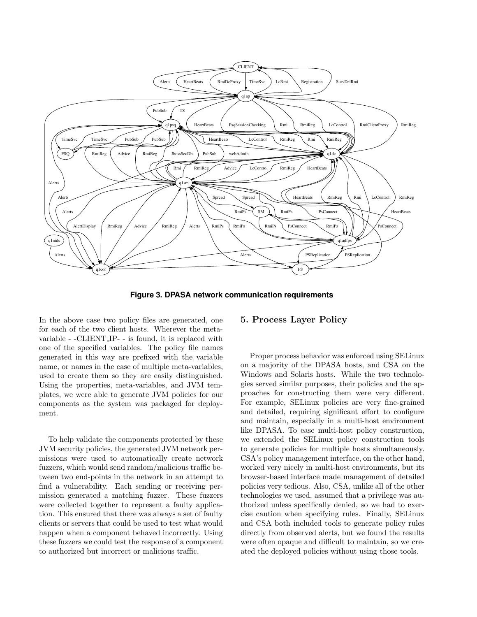

**Figure 3. DPASA network communication requirements**

In the above case two policy files are generated, one for each of the two client hosts. Wherever the metavariable - -CLIENT IP- - is found, it is replaced with one of the specified variables. The policy file names generated in this way are prefixed with the variable name, or names in the case of multiple meta-variables, used to create them so they are easily distinguished. Using the properties, meta-variables, and JVM templates, we were able to generate JVM policies for our components as the system was packaged for deployment.

To help validate the components protected by these JVM security policies, the generated JVM network permissions were used to automatically create network fuzzers, which would send random/malicious traffic between two end-points in the network in an attempt to find a vulnerability. Each sending or receiving permission generated a matching fuzzer. These fuzzers were collected together to represent a faulty application. This ensured that there was always a set of faulty clients or servers that could be used to test what would happen when a component behaved incorrectly. Using these fuzzers we could test the response of a component to authorized but incorrect or malicious traffic.

## 5. Process Layer Policy

Proper process behavior was enforced using SELinux on a majority of the DPASA hosts, and CSA on the Windows and Solaris hosts. While the two technologies served similar purposes, their policies and the approaches for constructing them were very different. For example, SELinux policies are very fine-grained and detailed, requiring significant effort to configure and maintain, especially in a multi-host environment like DPASA. To ease multi-host policy construction, we extended the SELinux policy construction tools to generate policies for multiple hosts simultaneously. CSA's policy management interface, on the other hand, worked very nicely in multi-host environments, but its browser-based interface made management of detailed policies very tedious. Also, CSA, unlike all of the other technologies we used, assumed that a privilege was authorized unless specifically denied, so we had to exercise caution when specifying rules. Finally, SELinux and CSA both included tools to generate policy rules directly from observed alerts, but we found the results were often opaque and difficult to maintain, so we created the deployed policies without using those tools.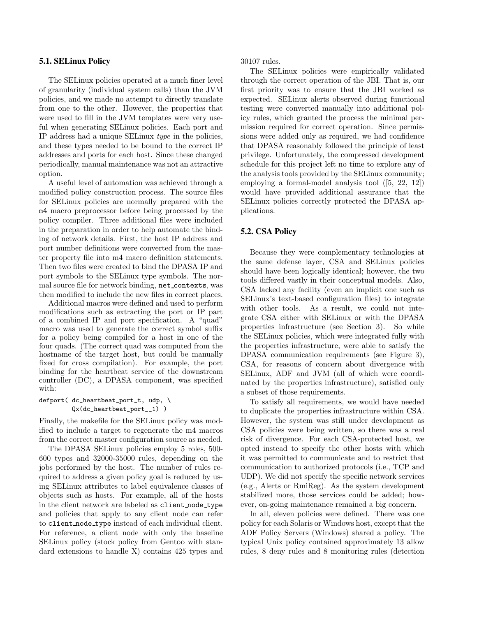### **5.1. SELinux Policy**

The SELinux policies operated at a much finer level of granularity (individual system calls) than the JVM policies, and we made no attempt to directly translate from one to the other. However, the properties that were used to fill in the JVM templates were very useful when generating SELinux policies. Each port and IP address had a unique SELinux type in the policies, and these types needed to be bound to the correct IP addresses and ports for each host. Since these changed periodically, manual maintenance was not an attractive option.

A useful level of automation was achieved through a modified policy construction process. The source files for SELinux policies are normally prepared with the m4 macro preprocessor before being processed by the policy compiler. Three additional files were included in the preparation in order to help automate the binding of network details. First, the host IP address and port number definitions were converted from the master property file into m4 macro definition statements. Then two files were created to bind the DPASA IP and port symbols to the SELinux type symbols. The normal source file for network binding, net contexts, was then modified to include the new files in correct places.

Additional macros were defined and used to perform modifications such as extracting the port or IP part of a combined IP and port specification. A "quad" macro was used to generate the correct symbol suffix for a policy being compiled for a host in one of the four quads. (The correct quad was computed from the hostname of the target host, but could be manually fixed for cross compilation). For example, the port binding for the heartbeat service of the downstream controller (DC), a DPASA component, was specified with:

#### defport( dc\_heartbeat\_port\_t, udp, \ Qx(dc\_heartbeat\_port\_\_1) )

Finally, the makefile for the SELinux policy was modified to include a target to regenerate the m4 macros from the correct master configuration source as needed.

The DPASA SELinux policies employ 5 roles, 500- 600 types and 32000-35000 rules, depending on the jobs performed by the host. The number of rules required to address a given policy goal is reduced by using SELinux attributes to label equivalence classes of objects such as hosts. For example, all of the hosts in the client network are labeled as client node type and policies that apply to any client node can refer to client node type instead of each individual client. For reference, a client node with only the baseline SELinux policy (stock policy from Gentoo with standard extensions to handle X) contains 425 types and

30107 rules.

The SELinux policies were empirically validated through the correct operation of the JBI. That is, our first priority was to ensure that the JBI worked as expected. SELinux alerts observed during functional testing were converted manually into additional policy rules, which granted the process the minimal permission required for correct operation. Since permissions were added only as required, we had confidence that DPASA reasonably followed the principle of least privilege. Unfortunately, the compressed development schedule for this project left no time to explore any of the analysis tools provided by the SELinux community; employing a formal-model analysis tool ([5, 22, 12]) would have provided additional assurance that the SELinux policies correctly protected the DPASA applications.

### **5.2. CSA Policy**

Because they were complementary technologies at the same defense layer, CSA and SELinux policies should have been logically identical; however, the two tools differed vastly in their conceptual models. Also, CSA lacked any facility (even an implicit one such as SELinux's text-based configuration files) to integrate with other tools. As a result, we could not integrate CSA either with SELinux or with the DPASA properties infrastructure (see Section 3). So while the SELinux policies, which were integrated fully with the properties infrastructure, were able to satisfy the DPASA communication requirements (see Figure 3), CSA, for reasons of concern about divergence with SELinux, ADF and JVM (all of which were coordinated by the properties infrastructure), satisfied only a subset of those requirements.

To satisfy all requirements, we would have needed to duplicate the properties infrastructure within CSA. However, the system was still under development as CSA policies were being written, so there was a real risk of divergence. For each CSA-protected host, we opted instead to specify the other hosts with which it was permitted to communicate and to restrict that communication to authorized protocols (i.e., TCP and UDP). We did not specify the specific network services (e.g., Alerts or RmiReg). As the system development stabilized more, those services could be added; however, on-going maintenance remained a big concern.

In all, eleven policies were defined. There was one policy for each Solaris or Windows host, except that the ADF Policy Servers (Windows) shared a policy. The typical Unix policy contained approximately 13 allow rules, 8 deny rules and 8 monitoring rules (detection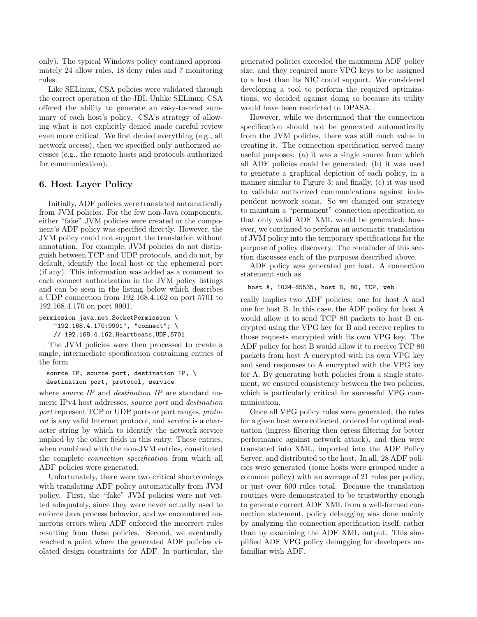only). The typical Windows policy contained approximately 24 allow rules, 18 deny rules and 7 monitoring rules.

Like SELinux, CSA policies were validated through the correct operation of the JBI. Unlike SELinux, CSA offered the ability to generate an easy-to-read summary of each host's policy. CSA's strategy of allowing what is not explicitly denied made careful review even more critical. We first denied everything (e.g., all network access), then we specified only authorized accesses (e.g., the remote hosts and protocols authorized for communication).

## 6. Host Layer Policy

Initially, ADF policies were translated automatically from JVM policies. For the few non-Java components, either "fake" JVM policies were created or the component's ADF policy was specified directly. However, the JVM policy could not support the translation without annotation. For example, JVM policies do not distinguish between TCP and UDP protocols, and do not, by default, identify the local host or the ephemeral port (if any). This information was added as a comment to each connect authorization in the JVM policy listings and can be seen in the listing below which describes a UDP connection from 192.168.4.162 on port 5701 to 192.168.4.170 on port 9901.

```
permission java.net.SocketPermission \
    "192.168.4.170:9901", "connect"; \
    // 192.168.4.162,Heartbeats,UDP,5701
```
The JVM policies were then processed to create a single, intermediate specification containing entries of the form

```
source IP, source port, destination IP, \
destination port, protocol, service
```
where *source IP* and *destination IP* are standard numeric IPv4 host addresses, source port and destination port represent TCP or UDP ports or port ranges, protocol is any valid Internet protocol, and service is a character string by which to identify the network service implied by the other fields in this entry. These entries, when combined with the non-JVM entries, constituted the complete connection specification from which all ADF policies were generated.

Unfortunately, there were two critical shortcomings with translating ADF policy automatically from JVM policy. First, the "fake" JVM policies were not vetted adequately, since they were never actually used to enforce Java process behavior, and we encountered numerous errors when ADF enforced the incorrect rules resulting from these policies. Second, we eventually reached a point where the generated ADF policies violated design constraints for ADF. In particular, the generated policies exceeded the maximum ADF policy size, and they required more VPG keys to be assigned to a host than its NIC could support. We considered developing a tool to perform the required optimizations, we decided against doing so because its utility would have been restricted to DPASA.

However, while we determined that the connection specification should not be generated automatically from the JVM policies, there was still much value in creating it. The connection specification served many useful purposes: (a) it was a single source from which all ADF policies could be generated; (b) it was used to generate a graphical depiction of each policy, in a manner similar to Figure 3; and finally, (c) it was used to validate authorized communications against independent network scans. So we changed our strategy to maintain a "permanent" connection specification so that only valid ADF XML would be generated; however, we continued to perform an automatic translation of JVM policy into the temporary specifications for the purpose of policy discovery. The remainder of this section discusses each of the purposes described above.

ADF policy was generated per host. A connection statement such as

### host A, 1024-65535, host B, 80, TCP, web

really implies two ADF policies: one for host A and one for host B. In this case, the ADF policy for host A would allow it to send TCP 80 packets to host B encrypted using the VPG key for B and receive replies to those requests encrypted with its own VPG key. The ADF policy for host B would allow it to receive TCP 80 packets from host A encrypted with its own VPG key and send responses to A encrypted with the VPG key for A. By generating both policies from a single statement, we ensured consistency between the two policies, which is particularly critical for successful VPG communication.

Once all VPG policy rules were generated, the rules for a given host were collected, ordered for optimal evaluation (ingress filtering then egress filtering for better performance against network attack), and then were translated into XML, imported into the ADF Policy Server, and distributed to the host. In all, 28 ADF policies were generated (some hosts were grouped under a common policy) with an average of 21 rules per policy, or just over 600 rules total. Because the translation routines were demonstrated to be trustworthy enough to generate correct ADF XML from a well-formed connection statement, policy debugging was done mainly by analyzing the connection specification itself, rather than by examining the ADF XML output. This simplified ADF VPG policy debugging for developers unfamiliar with ADF.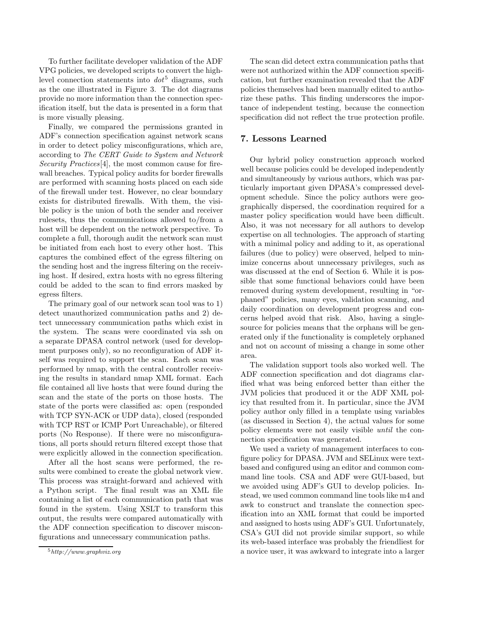To further facilitate developer validation of the ADF VPG policies, we developed scripts to convert the highlevel connection statements into  $dot^5$  diagrams, such as the one illustrated in Figure 3. The dot diagrams provide no more information than the connection specification itself, but the data is presented in a form that is more visually pleasing.

Finally, we compared the permissions granted in ADF's connection specification against network scans in order to detect policy misconfigurations, which are, according to The CERT Guide to System and Network Security Practices[4], the most common cause for firewall breaches. Typical policy audits for border firewalls are performed with scanning hosts placed on each side of the firewall under test. However, no clear boundary exists for distributed firewalls. With them, the visible policy is the union of both the sender and receiver rulesets, thus the communications allowed to/from a host will be dependent on the network perspective. To complete a full, thorough audit the network scan must be initiated from each host to every other host. This captures the combined effect of the egress filtering on the sending host and the ingress filtering on the receiving host. If desired, extra hosts with no egress filtering could be added to the scan to find errors masked by egress filters.

The primary goal of our network scan tool was to 1) detect unauthorized communication paths and 2) detect unnecessary communication paths which exist in the system. The scans were coordinated via ssh on a separate DPASA control network (used for development purposes only), so no reconfiguration of ADF itself was required to support the scan. Each scan was performed by nmap, with the central controller receiving the results in standard nmap XML format. Each file contained all live hosts that were found during the scan and the state of the ports on those hosts. The state of the ports were classified as: open (responded with TCP SYN-ACK or UDP data), closed (responded with TCP RST or ICMP Port Unreachable), or filtered ports (No Response). If there were no misconfigurations, all ports should return filtered except those that were explicitly allowed in the connection specification.

After all the host scans were performed, the results were combined to create the global network view. This process was straight-forward and achieved with a Python script. The final result was an XML file containing a list of each communication path that was found in the system. Using XSLT to transform this output, the results were compared automatically with the ADF connection specification to discover misconfigurations and unnecessary communication paths.

The scan did detect extra communication paths that were not authorized within the ADF connection specification, but further examination revealed that the ADF policies themselves had been manually edited to authorize these paths. This finding underscores the importance of independent testing, because the connection specification did not reflect the true protection profile.

### 7. Lessons Learned

Our hybrid policy construction approach worked well because policies could be developed independently and simultaneously by various authors, which was particularly important given DPASA's compressed development schedule. Since the policy authors were geographically dispersed, the coordination required for a master policy specification would have been difficult. Also, it was not necessary for all authors to develop expertise on all technologies. The approach of starting with a minimal policy and adding to it, as operational failures (due to policy) were observed, helped to minimize concerns about unnecessary privileges, such as was discussed at the end of Section 6. While it is possible that some functional behaviors could have been removed during system development, resulting in "orphaned" policies, many eyes, validation scanning, and daily coordination on development progress and concerns helped avoid that risk. Also, having a singlesource for policies means that the orphans will be generated only if the functionality is completely orphaned and not on account of missing a change in some other area.

The validation support tools also worked well. The ADF connection specification and dot diagrams clarified what was being enforced better than either the JVM policies that produced it or the ADF XML policy that resulted from it. In particular, since the JVM policy author only filled in a template using variables (as discussed in Section 4), the actual values for some policy elements were not easily visible until the connection specification was generated.

We used a variety of management interfaces to configure policy for DPASA. JVM and SELinux were textbased and configured using an editor and common command line tools. CSA and ADF were GUI-based, but we avoided using ADF's GUI to develop policies. Instead, we used common command line tools like m4 and awk to construct and translate the connection specification into an XML format that could be imported and assigned to hosts using ADF's GUI. Unfortunately, CSA's GUI did not provide similar support, so while its web-based interface was probably the friendliest for a novice user, it was awkward to integrate into a larger

<sup>5</sup>http://www.graphviz.org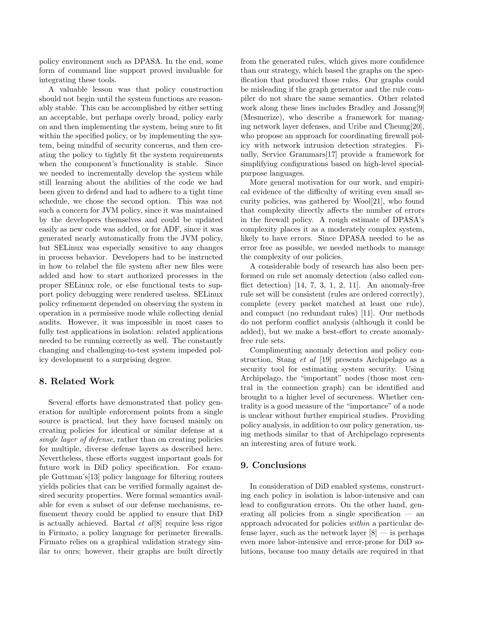policy environment such as DPASA. In the end, some form of command line support proved invaluable for integrating these tools.

A valuable lesson was that policy construction should not begin until the system functions are reasonably stable. This can be accomplished by either setting an acceptable, but perhaps overly broad, policy early on and then implementing the system, being sure to fit within the specified policy, or by implementing the system, being mindful of security concerns, and then creating the policy to tightly fit the system requirements when the component's functionality is stable. Since we needed to incrementally develop the system while still learning about the abilities of the code we had been given to defend and had to adhere to a tight time schedule, we chose the second option. This was not such a concern for JVM policy, since it was maintained by the developers themselves and could be updated easily as new code was added, or for ADF, since it was generated nearly automatically from the JVM policy, but SELinux was especially sensitive to any changes in process behavior. Developers had to be instructed in how to relabel the file system after new files were added and how to start authorized processes in the proper SELinux role, or else functional tests to support policy debugging were rendered useless. SELinux policy refinement depended on observing the system in operation in a permissive mode while collecting denial audits. However, it was impossible in most cases to fully test applications in isolation: related applications needed to be running correctly as well. The constantly changing and challenging-to-test system impeded policy development to a surprising degree.

## 8. Related Work

Several efforts have demonstrated that policy generation for multiple enforcement points from a single source is practical, but they have focused mainly on creating policies for identical or similar defense at a single layer of defense, rather than on creating policies for multiple, diverse defense layers as described here. Nevertheless, these efforts suggest important goals for future work in DiD policy specification. For example Guttman's[13] policy language for filtering routers yields policies that can be verified formally against desired security properties. Were formal semantics available for even a subset of our defense mechanisms, refinement theory could be applied to ensure that DiD is actually achieved. Bartal  $et$   $al[8]$  require less rigor in Firmato, a policy language for perimeter firewalls. Firmato relies on a graphical validation strategy similar to ours; however, their graphs are built directly

from the generated rules, which gives more confidence than our strategy, which based the graphs on the specification that produced those rules. Our graphs could be misleading if the graph generator and the rule compiler do not share the same semantics. Other related work along these lines includes Bradley and Josang[9] (Mesmerize), who describe a framework for managing network layer defenses, and Uribe and Cheung[20], who propose an approach for coordinating firewall policy with network intrusion detection strategies. Finally, Service Grammars[17] provide a framework for simplifying configurations based on high-level specialpurpose languages.

More general motivation for our work, and empirical evidence of the difficulty of writing even small security policies, was gathered by Wool[21], who found that complexity directly affects the number of errors in the firewall policy. A rough estimate of DPASA's complexity places it as a moderately complex system, likely to have errors. Since DPASA needed to be as error free as possible, we needed methods to manage the complexity of our policies.

A considerable body of research has also been performed on rule set anomaly detection (also called conflict detection)  $[14, 7, 3, 1, 2, 11]$ . An anomaly-free rule set will be consistent (rules are ordered correctly), complete (every packet matched at least one rule), and compact (no redundant rules) [11]. Our methods do not perform conflict analysis (although it could be added), but we make a best-effort to create anomalyfree rule sets.

Complimenting anomaly detection and policy construction, Stang et al [19] presents Archipelago as a security tool for estimating system security. Using Archipelago, the "important" nodes (those most central in the connection graph) can be identified and brought to a higher level of secureness. Whether centrality is a good measure of the "importance" of a node is unclear without further empirical studies. Providing policy analysis, in addition to our policy generation, using methods similar to that of Archipelago represents an interesting area of future work.

## 9. Conclusions

In consideration of DiD enabled systems, constructing each policy in isolation is labor-intensive and can lead to configuration errors. On the other hand, generating all policies from a single specification — an approach advocated for policies within a particular defense layer, such as the network layer  $[8]$  — is perhaps even more labor-intensive and error-prone for DiD solutions, because too many details are required in that